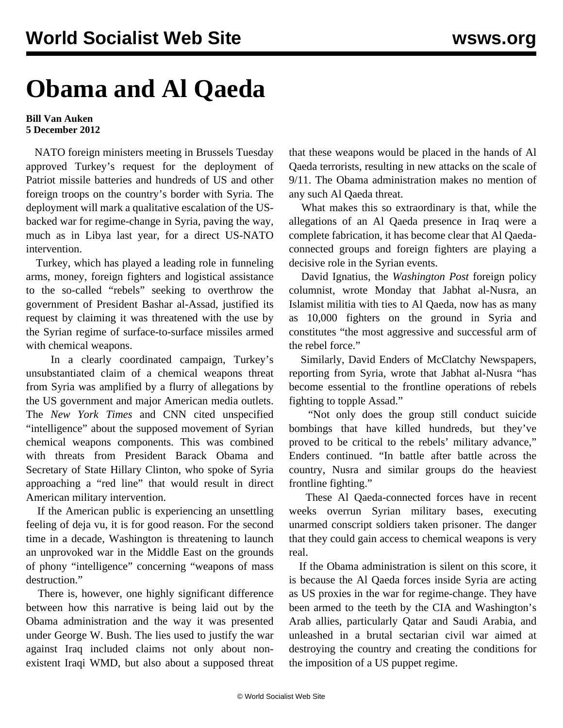## **Obama and Al Qaeda**

## **Bill Van Auken 5 December 2012**

 NATO foreign ministers meeting in Brussels Tuesday approved Turkey's request for the deployment of Patriot missile batteries and hundreds of US and other foreign troops on the country's border with Syria. The deployment will mark a qualitative escalation of the USbacked war for regime-change in Syria, paving the way, much as in Libya last year, for a direct US-NATO intervention.

 Turkey, which has played a leading role in funneling arms, money, foreign fighters and logistical assistance to the so-called "rebels" seeking to overthrow the government of President Bashar al-Assad, justified its request by claiming it was threatened with the use by the Syrian regime of surface-to-surface missiles armed with chemical weapons.

 In a clearly coordinated campaign, Turkey's unsubstantiated claim of a chemical weapons threat from Syria was amplified by a flurry of allegations by the US government and major American media outlets. The *New York Times* and CNN cited unspecified "intelligence" about the supposed movement of Syrian chemical weapons components. This was combined with threats from President Barack Obama and Secretary of State Hillary Clinton, who spoke of Syria approaching a "red line" that would result in direct American military intervention.

 If the American public is experiencing an unsettling feeling of deja vu, it is for good reason. For the second time in a decade, Washington is threatening to launch an unprovoked war in the Middle East on the grounds of phony "intelligence" concerning "weapons of mass destruction."

 There is, however, one highly significant difference between how this narrative is being laid out by the Obama administration and the way it was presented under George W. Bush. The lies used to justify the war against Iraq included claims not only about nonexistent Iraqi WMD, but also about a supposed threat that these weapons would be placed in the hands of Al Qaeda terrorists, resulting in new attacks on the scale of 9/11. The Obama administration makes no mention of any such Al Qaeda threat.

 What makes this so extraordinary is that, while the allegations of an Al Qaeda presence in Iraq were a complete fabrication, it has become clear that Al Qaedaconnected groups and foreign fighters are playing a decisive role in the Syrian events.

 David Ignatius, the *Washington Post* foreign policy columnist, wrote Monday that Jabhat al-Nusra, an Islamist militia with ties to Al Qaeda, now has as many as 10,000 fighters on the ground in Syria and constitutes "the most aggressive and successful arm of the rebel force."

 Similarly, David Enders of McClatchy Newspapers, reporting from Syria, wrote that Jabhat al-Nusra "has become essential to the frontline operations of rebels fighting to topple Assad."

 "Not only does the group still conduct suicide bombings that have killed hundreds, but they've proved to be critical to the rebels' military advance," Enders continued. "In battle after battle across the country, Nusra and similar groups do the heaviest frontline fighting."

 These Al Qaeda-connected forces have in recent weeks overrun Syrian military bases, executing unarmed conscript soldiers taken prisoner. The danger that they could gain access to chemical weapons is very real.

 If the Obama administration is silent on this score, it is because the Al Qaeda forces inside Syria are acting as US proxies in the war for regime-change. They have been armed to the teeth by the CIA and Washington's Arab allies, particularly Qatar and Saudi Arabia, and unleashed in a brutal sectarian civil war aimed at destroying the country and creating the conditions for the imposition of a US puppet regime.